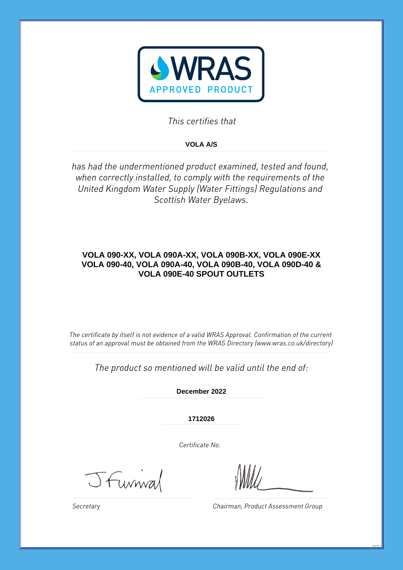

*This certifies that*

# **VOLA A/S**

*has had the undermentioned product examined, tested and found, when correctly installed, to comply with the requirements of the United Kingdom Water Supply (Water Fittings) Regulations and Scottish Water Byelaws.*

# **VOLA 090-XX, VOLA 090A-XX, VOLA 090B-XX, VOLA 090E-XX VOLA 090-40, VOLA 090A-40, VOLA 090B-40, VOLA 090D-40 & VOLA 090E-40 SPOUT OUTLETS**

*The certificate by itself is not evidence of a valid WRAS Approval. Confirmation of the current status of an approval must be obtained from the WRAS Directory (www.wras.co.uk/directory)*

*The product so mentioned will be valid until the end of:*

**December 2022**

**1712026**

*Certificate No.*

Jfurnial

*Chairman, Product Assessment Group*

June 2017

*Secretary*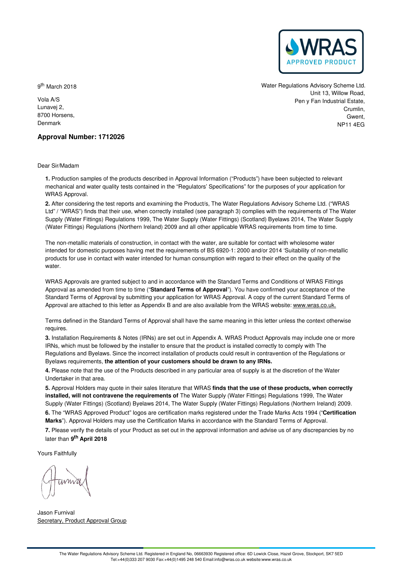

9<sup>th</sup> March 2018

Vola A/S Lunavej 2, 8700 Horsens, Denmark

Water Regulations Advisory Scheme Ltd. Unit 13, Willow Road, Pen y Fan Industrial Estate, Crumlin, Gwent NP11 4EG

# **Approval Number: 1712026**

Dear Sir/Madam

**1.** Production samples of the products described in Approval Information ("Products") have been subjected to relevant mechanical and water quality tests contained in the "Regulators' Specifications" for the purposes of your application for WRAS Approval.

**2.** After considering the test reports and examining the Product/s, The Water Regulations Advisory Scheme Ltd. ("WRAS Ltd" / "WRAS") finds that their use, when correctly installed (see paragraph 3) complies with the requirements of The Water Supply (Water Fittings) Regulations 1999, The Water Supply (Water Fittings) (Scotland) Byelaws 2014, The Water Supply (Water Fittings) Regulations (Northern Ireland) 2009 and all other applicable WRAS requirements from time to time.

The non-metallic materials of construction, in contact with the water, are suitable for contact with wholesome water intended for domestic purposes having met the requirements of BS 6920-1: 2000 and/or 2014 'Suitability of non-metallic products for use in contact with water intended for human consumption with regard to their effect on the quality of the water.

WRAS Approvals are granted subject to and in accordance with the Standard Terms and Conditions of WRAS Fittings Approval as amended from time to time ("**Standard Terms of Approval**"). You have confirmed your acceptance of the Standard Terms of Approval by submitting your application for WRAS Approval. A copy of the current Standard Terms of Approval are attached to this letter as Appendix B and are also available from the WRAS website: [www.wras.co.uk.](https://www.wras.co.uk)

Terms defined in the Standard Terms of Approval shall have the same meaning in this letter unless the context otherwise requires.

**3.** Installation Requirements & Notes (IRNs) are set out in Appendix A. WRAS Product Approvals may include one or more IRNs, which must be followed by the installer to ensure that the product is installed correctly to comply with The Regulations and Byelaws. Since the incorrect installation of products could result in contravention of the Regulations or Byelaws requirements, **the attention of your customers should be drawn to any IRNs.**

**4.** Please note that the use of the Products described in any particular area of supply is at the discretion of the Water Undertaker in that area.

**5.** Approval Holders may quote in their sales literature that WRAS **finds that the use of these products, when correctly installed, will not contravene the requirements of** The Water Supply (Water Fittings) Regulations 1999, The Water Supply (Water Fittings) (Scotland) Byelaws 2014, The Water Supply (Water Fittings) Regulations (Northern Ireland) 2009. **6.** The "WRAS Approved Product" logos are certification marks registered under the Trade Marks Acts 1994 ("**Certification**

**Marks**"). Approval Holders may use the Certification Marks in accordance with the Standard Terms of Approval.

**7.** Please verify the details of your Product as set out in the approval information and advise us of any discrepancies by no later than **9 th April 2018**

Yours Faithfully

Jason Furnival Secretary, Product Approval Group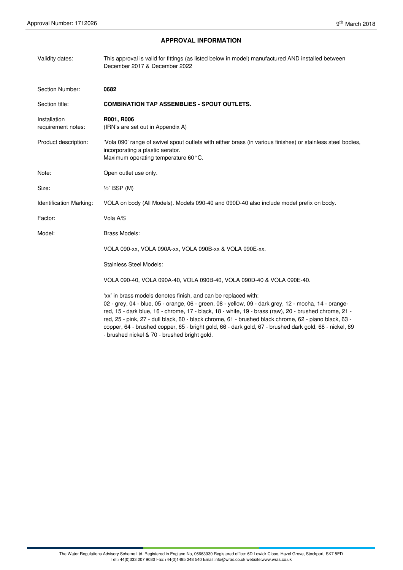# **APPROVAL INFORMATION**

| Validity dates:                    | This approval is valid for fittings (as listed below in model) manufactured AND installed between<br>December 2017 & December 2022                                                                                                                                                                                                                                                                                                                                                                                                                 |
|------------------------------------|----------------------------------------------------------------------------------------------------------------------------------------------------------------------------------------------------------------------------------------------------------------------------------------------------------------------------------------------------------------------------------------------------------------------------------------------------------------------------------------------------------------------------------------------------|
| Section Number:                    | 0682                                                                                                                                                                                                                                                                                                                                                                                                                                                                                                                                               |
| Section title:                     | <b>COMBINATION TAP ASSEMBLIES - SPOUT OUTLETS.</b>                                                                                                                                                                                                                                                                                                                                                                                                                                                                                                 |
| Installation<br>requirement notes: | R001, R006<br>(IRN's are set out in Appendix A)                                                                                                                                                                                                                                                                                                                                                                                                                                                                                                    |
| Product description:               | 'Vola 090' range of swivel spout outlets with either brass (in various finishes) or stainless steel bodies,<br>incorporating a plastic aerator.<br>Maximum operating temperature 60°C.                                                                                                                                                                                                                                                                                                                                                             |
| Note:                              | Open outlet use only.                                                                                                                                                                                                                                                                                                                                                                                                                                                                                                                              |
| Size:                              | $\frac{1}{2}$ " BSP (M)                                                                                                                                                                                                                                                                                                                                                                                                                                                                                                                            |
| Identification Marking:            | VOLA on body (All Models). Models 090-40 and 090D-40 also include model prefix on body.                                                                                                                                                                                                                                                                                                                                                                                                                                                            |
| Factor:                            | Vola A/S                                                                                                                                                                                                                                                                                                                                                                                                                                                                                                                                           |
| Model:                             | <b>Brass Models:</b>                                                                                                                                                                                                                                                                                                                                                                                                                                                                                                                               |
|                                    | VOLA 090-xx, VOLA 090A-xx, VOLA 090B-xx & VOLA 090E-xx.                                                                                                                                                                                                                                                                                                                                                                                                                                                                                            |
|                                    | <b>Stainless Steel Models:</b>                                                                                                                                                                                                                                                                                                                                                                                                                                                                                                                     |
|                                    | VOLA 090-40, VOLA 090A-40, VOLA 090B-40, VOLA 090D-40 & VOLA 090E-40.                                                                                                                                                                                                                                                                                                                                                                                                                                                                              |
|                                    | 'xx' in brass models denotes finish, and can be replaced with:<br>02 - grey, 04 - blue, 05 - orange, 06 - green, 08 - yellow, 09 - dark grey, 12 - mocha, 14 - orange-<br>red, 15 - dark blue, 16 - chrome, 17 - black, 18 - white, 19 - brass (raw), 20 - brushed chrome, 21 -<br>red, 25 - pink, 27 - dull black, 60 - black chrome, 61 - brushed black chrome, 62 - piano black, 63 -<br>copper, 64 - brushed copper, 65 - bright gold, 66 - dark gold, 67 - brushed dark gold, 68 - nickel, 69<br>- brushed nickel & 70 - brushed bright gold. |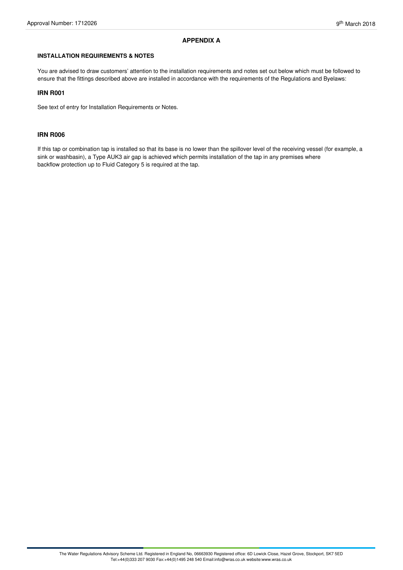# **APPENDIX A**

# **INSTALLATION REQUIREMENTS & NOTES**

You are advised to draw customers' attention to the installation requirements and notes set out below which must be followed to ensure that the fittings described above are installed in accordance with the requirements of the Regulations and Byelaws:

# **IRN R001**

See text of entry for Installation Requirements or Notes.

# **IRN R006**

If this tap or combination tap is installed so that its base is no lower than the spillover level of the receiving vessel (for example, a sink or washbasin), a Type AUK3 air gap is achieved which permits installation of the tap in any premises where backflow protection up to Fluid Category 5 is required at the tap.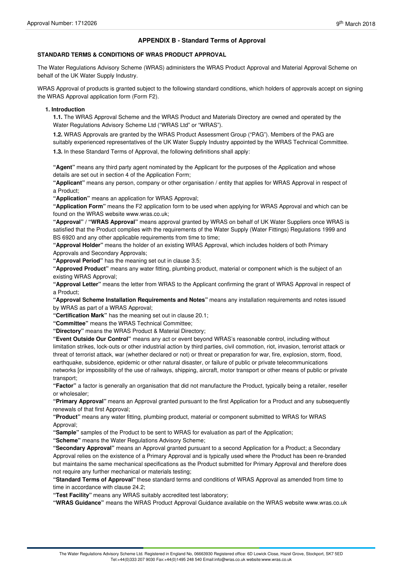# **APPENDIX B - Standard Terms of Approval**

# **STANDARD TERMS & CONDITIONS OF WRAS PRODUCT APPROVAL**

The Water Regulations Advisory Scheme (WRAS) administers the WRAS Product Approval and Material Approval Scheme on behalf of the UK Water Supply Industry.

WRAS Approval of products is granted subject to the following standard conditions, which holders of approvals accept on signing the WRAS Approval application form (Form F2).

#### **1. Introduction**

**1.1.** The WRAS Approval Scheme and the WRAS Product and Materials Directory are owned and operated by the Water Regulations Advisory Scheme Ltd ("WRAS Ltd" or "WRAS").

**1.2.** WRAS Approvals are granted by the WRAS Product Assessment Group ("PAG"). Members of the PAG are suitably experienced representatives of the UK Water Supply Industry appointed by the WRAS Technical Committee.

**1.3.** In these Standard Terms of Approval, the following definitions shall apply:

**"Agent"** means any third party agent nominated by the Applicant for the purposes of the Application and whose details are set out in section 4 of the Application Form;

**"Applicant"** means any person, company or other organisation / entity that applies for WRAS Approval in respect of a Product;

**"Application"** means an application for WRAS Approval;

**"Application Form"** means the F2 application form to be used when applying for WRAS Approval and which can be found on the WRAS website www.wras.co.uk;

**"Approval" / "WRAS Approval"** means approval granted by WRAS on behalf of UK Water Suppliers once WRAS is satisfied that the Product complies with the requirements of the Water Supply (Water Fittings) Regulations 1999 and BS 6920 and any other applicable requirements from time to time;

**"Approval Holder"** means the holder of an existing WRAS Approval, which includes holders of both Primary Approvals and Secondary Approvals;

**"Approval Period"** has the meaning set out in clause 3.5;

**"Approved Product"** means any water fitting, plumbing product, material or component which is the subject of an existing WRAS Approval;

**"Approval Letter"** means the letter from WRAS to the Applicant confirming the grant of WRAS Approval in respect of a Product;

**"Approval Scheme Installation Requirements and Notes"** means any installation requirements and notes issued by WRAS as part of a WRAS Approval;

**"Certification Mark"** has the meaning set out in clause 20.1;

**"Committee"** means the WRAS Technical Committee;

**"Directory"** means the WRAS Product & Material Directory;

**"Event Outside Our Control"** means any act or event beyond WRAS's reasonable control, including without limitation strikes, lock-outs or other industrial action by third parties, civil commotion, riot, invasion, terrorist attack or threat of terrorist attack, war (whether declared or not) or threat or preparation for war, fire, explosion, storm, flood, earthquake, subsidence, epidemic or other natural disaster, or failure of public or private telecommunications networks [or impossibility of the use of railways, shipping, aircraft, motor transport or other means of public or private transport;

**"Factor"** a factor is generally an organisation that did not manufacture the Product, typically being a retailer, reseller or wholesaler;

**"Primary Approval"** means an Approval granted pursuant to the first Application for a Product and any subsequently renewals of that first Approval;

**"Product"** means any water fitting, plumbing product, material or component submitted to WRAS for WRAS Approval;

**"Sample"** samples of the Product to be sent to WRAS for evaluation as part of the Application;

**"Scheme"** means the Water Regulations Advisory Scheme;

**"Secondary Approval"** means an Approval granted pursuant to a second Application for a Product; a Secondary Approval relies on the existence of a Primary Approval and is typically used where the Product has been re-branded but maintains the same mechanical specifications as the Product submitted for Primary Approval and therefore does not require any further mechanical or materials testing;

**"Standard Terms of Approval"** these standard terms and conditions of WRAS Approval as amended from time to time in accordance with clause 24.2;

**"Test Facility"** means any WRAS suitably accredited test laboratory;

**"WRAS Guidance"** means the WRAS Product Approval Guidance available on the WRAS website www.wras.co.uk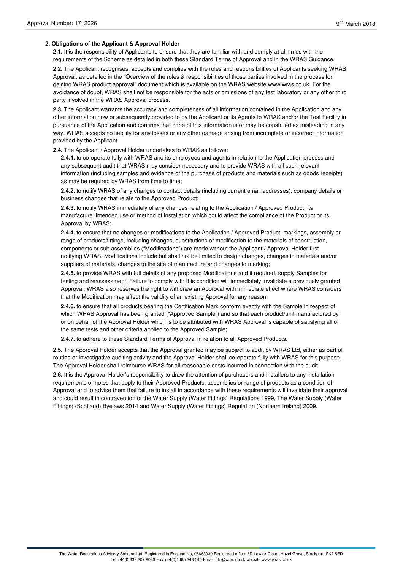# **2. Obligations of the Applicant & Approval Holder**

**2.1.** It is the responsibility of Applicants to ensure that they are familiar with and comply at all times with the requirements of the Scheme as detailed in both these Standard Terms of Approval and in the WRAS Guidance.

**2.2.** The Applicant recognises, accepts and complies with the roles and responsibilities of Applicants seeking WRAS Approval, as detailed in the "Overview of the roles & responsibilities of those parties involved in the process for gaining WRAS product approval" document which is available on the WRAS website www.wras.co.uk. For the avoidance of doubt, WRAS shall not be responsible for the acts or omissions of any test laboratory or any other third party involved in the WRAS Approval process.

**2.3.** The Applicant warrants the accuracy and completeness of all information contained in the Application and any other information now or subsequently provided to by the Applicant or its Agents to WRAS and/or the Test Facility in pursuance of the Application and confirms that none of this information is or may be construed as misleading in any way. WRAS accepts no liability for any losses or any other damage arising from incomplete or incorrect information provided by the Applicant.

**2.4.** The Applicant / Approval Holder undertakes to WRAS as follows:

**2.4.1.** to co-operate fully with WRAS and its employees and agents in relation to the Application process and any subsequent audit that WRAS may consider necessary and to provide WRAS with all such relevant information (including samples and evidence of the purchase of products and materials such as goods receipts) as may be required by WRAS from time to time;

**2.4.2.** to notify WRAS of any changes to contact details (including current email addresses), company details or business changes that relate to the Approved Product;

**2.4.3.** to notify WRAS immediately of any changes relating to the Application / Approved Product, its manufacture, intended use or method of installation which could affect the compliance of the Product or its Approval by WRAS;

**2.4.4.** to ensure that no changes or modifications to the Application / Approved Product, markings, assembly or range of products/fittings, including changes, substitutions or modification to the materials of construction, components or sub assemblies ("Modifications") are made without the Applicant / Approval Holder first notifying WRAS. Modifications include but shall not be limited to design changes, changes in materials and/or suppliers of materials, changes to the site of manufacture and changes to marking;

**2.4.5.** to provide WRAS with full details of any proposed Modifications and if required, supply Samples for testing and reassessment. Failure to comply with this condition will immediately invalidate a previously granted Approval. WRAS also reserves the right to withdraw an Approval with immediate effect where WRAS considers that the Modification may affect the validity of an existing Approval for any reason;

**2.4.6.** to ensure that all products bearing the Certification Mark conform exactly with the Sample in respect of which WRAS Approval has been granted ("Approved Sample") and so that each product/unit manufactured by or on behalf of the Approval Holder which is to be attributed with WRAS Approval is capable of satisfying all of the same tests and other criteria applied to the Approved Sample;

**2.4.7.** to adhere to these Standard Terms of Approval in relation to all Approved Products.

**2.5.** The Approval Holder accepts that the Approval granted may be subject to audit by WRAS Ltd, either as part of routine or investigative auditing activity and the Approval Holder shall co-operate fully with WRAS for this purpose. The Approval Holder shall reimburse WRAS for all reasonable costs incurred in connection with the audit.

**2.6.** It is the Approval Holder's responsibility to draw the attention of purchasers and installers to any installation requirements or notes that apply to their Approved Products, assemblies or range of products as a condition of Approval and to advise them that failure to install in accordance with these requirements will invalidate their approval and could result in contravention of the Water Supply (Water Fittings) Regulations 1999, The Water Supply (Water Fittings) (Scotland) Byelaws 2014 and Water Supply (Water Fittings) Regulation (Northern Ireland) 2009.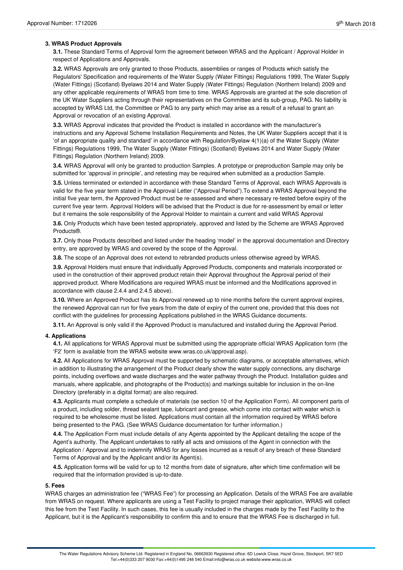# **3. WRAS Product Approvals**

**3.1.** These Standard Terms of Approval form the agreement between WRAS and the Applicant / Approval Holder in respect of Applications and Approvals.

**3.2.** WRAS Approvals are only granted to those Products, assemblies or ranges of Products which satisfy the Regulators' Specification and requirements of the Water Supply (Water Fittings) Regulations 1999, The Water Supply (Water Fittings) (Scotland) Byelaws 2014 and Water Supply (Water Fittings) Regulation (Northern Ireland) 2009 and any other applicable requirements of WRAS from time to time. WRAS Approvals are granted at the sole discretion of the UK Water Suppliers acting through their representatives on the Committee and its sub-group, PAG. No liability is accepted by WRAS Ltd, the Committee or PAG to any party which may arise as a result of a refusal to grant an Approval or revocation of an existing Approval.

**3.3.** WRAS Approval indicates that provided the Product is installed in accordance with the manufacturer's instructions and any Approval Scheme Installation Requirements and Notes, the UK Water Suppliers accept that it is 'of an appropriate quality and standard' in accordance with Regulation/Byelaw 4(1)(a) of the Water Supply (Water Fittings) Regulations 1999, The Water Supply (Water Fittings) (Scotland) Byelaws 2014 and Water Supply (Water Fittings) Regulation (Northern Ireland) 2009.

**3.4.** WRAS Approval will only be granted to production Samples. A prototype or preproduction Sample may only be submitted for 'approval in principle', and retesting may be required when submitted as a production Sample.

**3.5.** Unless terminated or extended in accordance with these Standard Terms of Approval, each WRAS Approvals is valid for the five year term stated in the Approval Letter ("Approval Period").To extend a WRAS Approval beyond the initial five year term, the Approved Product must be re-assessed and where necessary re-tested before expiry of the current five year term. Approval Holders will be advised that the Product is due for re-assessment by email or letter but it remains the sole responsibility of the Approval Holder to maintain a current and valid WRAS Approval

**3.6.** Only Products which have been tested appropriately, approved and listed by the Scheme are WRAS Approved Products®.

**3.7.** Only those Products described and listed under the heading 'model' in the approval documentation and Directory entry, are approved by WRAS and covered by the scope of the Approval.

**3.8.** The scope of an Approval does not extend to rebranded products unless otherwise agreed by WRAS.

**3.9.** Approval Holders must ensure that individually Approved Products, components and materials incorporated or used in the construction of their approved product retain their Approval throughout the Approval period of their approved product. Where Modifications are required WRAS must be informed and the Modifications approved in accordance with clause 2.4.4 and 2.4.5 above).

**3.10.** Where an Approved Product has its Approval renewed up to nine months before the current approval expires, the renewed Approval can run for five years from the date of expiry of the current one, provided that this does not conflict with the guidelines for processing Applications published in the WRAS Guidance documents.

**3.11.** An Approval is only valid if the Approved Product is manufactured and installed during the Approval Period.

# **4. Applications**

**4.1.** All applications for WRAS Approval must be submitted using the appropriate official WRAS Application form (the 'F2' form is available from the WRAS website www.wras.co.uk/approval.asp).

**4.2.** All Applications for WRAS Approval must be supported by schematic diagrams, or acceptable alternatives, which in addition to illustrating the arrangement of the Product clearly show the water supply connections, any discharge points, including overflows and waste discharges and the water pathway through the Product. Installation guides and manuals, where applicable, and photographs of the Product(s) and markings suitable for inclusion in the on-line Directory (preferably in a digital format) are also required.

**4.3.** Applicants must complete a schedule of materials (se section 10 of the Application Form). All component parts of a product, including solder, thread sealant tape, lubricant and grease, which come into contact with water which is required to be wholesome must be listed. Applications must contain all the information required by WRAS before being presented to the PAG. (See WRAS Guidance documentation for further information.)

**4.4.** The Application Form must include details of any Agents appointed by the Applicant detailing the scope of the Agent's authority. The Applicant undertakes to ratify all acts and omissions of the Agent in connection with the Application / Approval and to indemnify WRAS for any losses incurred as a result of any breach of these Standard Terms of Approval and by the Applicant and/or its Agent(s).

**4.5.** Application forms will be valid for up to 12 months from date of signature, after which time confirmation will be required that the information provided is up-to-date.

# **5. Fees**

WRAS charges an administration fee ("WRAS Fee") for processing an Application. Details of the WRAS Fee are available from WRAS on request. Where applicants are using a Test Facility to project manage their application, WRAS will collect this fee from the Test Facility. In such cases, this fee is usually included in the charges made by the Test Facility to the Applicant, but it is the Applicant's responsibility to confirm this and to ensure that the WRAS Fee is discharged in full.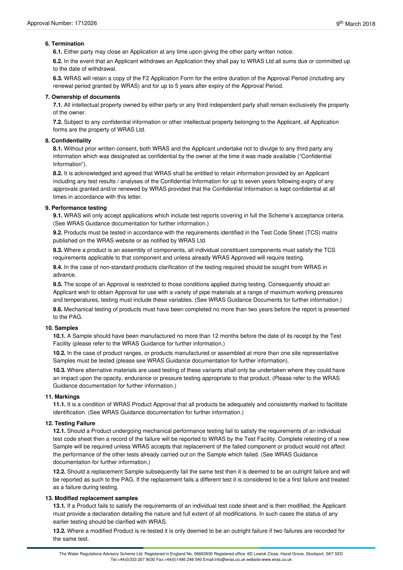# **6. Termination**

**6.1.** Either party may close an Application at any time upon giving the other party written notice.

**6.2.** In the event that an Applicant withdraws an Application they shall pay to WRAS Ltd all sums due or committed up to the date of withdrawal.

**6.3.** WRAS will retain a copy of the F2 Application Form for the entire duration of the Approval Period (including any renewal period granted by WRAS) and for up to 5 years after expiry of the Approval Period.

#### **7. Ownership of documents**

**7.1.** All intellectual property owned by either party or any third independent party shall remain exclusively the property of the owner.

**7.2.** Subject to any confidential information or other intellectual property belonging to the Applicant, all Application forms are the property of WRAS Ltd.

# **8. Confidentiality**

**8.1.** Without prior written consent, both WRAS and the Applicant undertake not to divulge to any third party any information which was designated as confidential by the owner at the time it was made available ("Confidential Information").

**8.2.** It is acknowledged and agreed that WRAS shall be entitled to retain information provided by an Applicant including any test results / analyses of the Confidential Information for up to seven years following expiry of any approvals granted and/or renewed by WRAS provided that the Confidential Information is kept confidential at all times in accordance with this letter.

#### **9. Performance testing**

**9.1.** WRAS will only accept applications which include test reports covering in full the Scheme's acceptance criteria. (See WRAS Guidance documentation for further information.)

**9.2.** Products must be tested in accordance with the requirements identified in the Test Code Sheet (TCS) matrix published on the WRAS website or as notified by WRAS Ltd.

**9.3.** Where a product is an assembly of components, all individual constituent components must satisfy the TCS requirements applicable to that component and unless already WRAS Approved will require testing.

**9.4.** In the case of non-standard products clarification of the testing required should be sought from WRAS in advance.

**9.5.** The scope of an Approval is restricted to those conditions applied during testing. Consequently should an Applicant wish to obtain Approval for use with a variety of pipe materials at a range of maximum working pressures and temperatures, testing must include these variables. (See WRAS Guidance Documents for further information.) **9.6.** Mechanical testing of products must have been completed no more than two years before the report is presented to the PAG.

#### **10. Samples**

**10.1.** A Sample should have been manufactured no more than 12 months before the date of its receipt by the Test Facility (please refer to the WRAS Guidance for further information.)

**10.2.** In the case of product ranges, or products manufactured or assembled at more than one site representative Samples must be tested (please see WRAS Guidance documentation for further information).

**10.3.** Where alternative materials are used testing of these variants shall only be undertaken where they could have an impact upon the opacity, endurance or pressure testing appropriate to that product. (Please refer to the WRAS Guidance documentation for further information.)

#### **11. Markings**

**11.1.** It is a condition of WRAS Product Approval that all products be adequately and consistently marked to facilitate identification. (See WRAS Guidance documentation for further information.)

# **12. Testing Failure**

**12.1.** Should a Product undergoing mechanical performance testing fail to satisfy the requirements of an individual test code sheet then a record of the failure will be reported to WRAS by the Test Facility. Complete retesting of a new Sample will be required unless WRAS accepts that replacement of the failed component or product would not affect the performance of the other tests already carried out on the Sample which failed. (See WRAS Guidance documentation for further information.)

**12.2.** Should a replacement Sample subsequently fail the same test then it is deemed to be an outright failure and will be reported as such to the PAG. If the replacement fails a different test it is considered to be a first failure and treated as a failure during testing.

# **13. Modified replacement samples**

**13.1.** If a Product fails to satisfy the requirements of an individual test code sheet and is then modified, the Applicant must provide a declaration detailing the nature and full extent of all modifications. In such cases the status of any earlier testing should be clarified with WRAS.

**13.2.** Where a modified Product is re-tested it is only deemed to be an outright failure if two failures are recorded for the same test.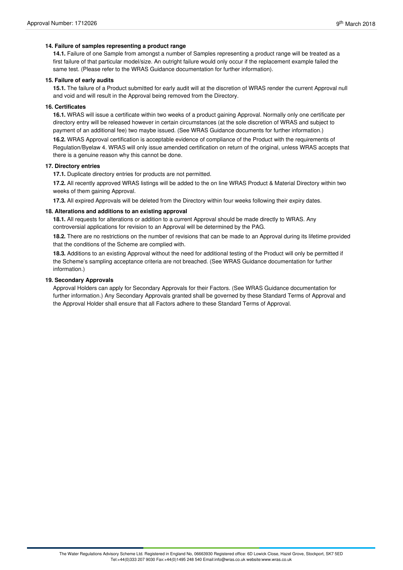# **14. Failure of samples representing a product range**

**14.1.** Failure of one Sample from amongst a number of Samples representing a product range will be treated as a first failure of that particular model/size. An outright failure would only occur if the replacement example failed the same test. (Please refer to the WRAS Guidance documentation for further information).

#### **15. Failure of early audits**

**15.1.** The failure of a Product submitted for early audit will at the discretion of WRAS render the current Approval null and void and will result in the Approval being removed from the Directory.

# **16. Certificates**

**16.1.** WRAS will issue a certificate within two weeks of a product gaining Approval. Normally only one certificate per directory entry will be released however in certain circumstances (at the sole discretion of WRAS and subject to payment of an additional fee) two maybe issued. (See WRAS Guidance documents for further information.)

**16.2.** WRAS Approval certification is acceptable evidence of compliance of the Product with the requirements of Regulation/Byelaw 4. WRAS will only issue amended certification on return of the original, unless WRAS accepts that there is a genuine reason why this cannot be done.

# **17. Directory entries**

**17.1.** Duplicate directory entries for products are not permitted.

**17.2.** All recently approved WRAS listings will be added to the on line WRAS Product & Material Directory within two weeks of them gaining Approval.

**17.3.** All expired Approvals will be deleted from the Directory within four weeks following their expiry dates.

#### **18. Alterations and additions to an existing approval**

18.1. All requests for alterations or addition to a current Approval should be made directly to WRAS. Any controversial applications for revision to an Approval will be determined by the PAG.

**18.2.** There are no restrictions on the number of revisions that can be made to an Approval during its lifetime provided that the conditions of the Scheme are complied with.

**18.3.** Additions to an existing Approval without the need for additional testing of the Product will only be permitted if the Scheme's sampling acceptance criteria are not breached. (See WRAS Guidance documentation for further information.)

#### **19. Secondary Approvals**

Approval Holders can apply for Secondary Approvals for their Factors. (See WRAS Guidance documentation for further information.) Any Secondary Approvals granted shall be governed by these Standard Terms of Approval and the Approval Holder shall ensure that all Factors adhere to these Standard Terms of Approval.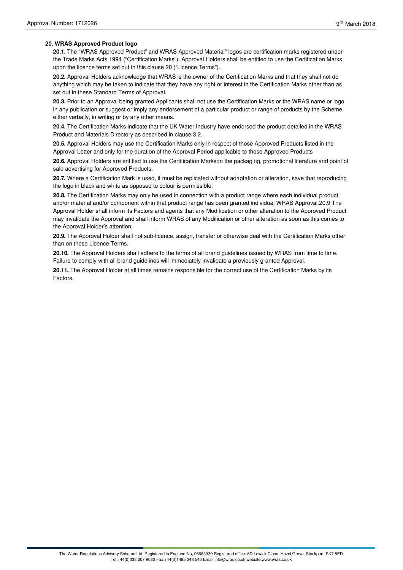# **20. WRAS Approved Product logo**

**20.1.** The "WRAS Approved Product" and WRAS Approved Material" logos are certification marks registered under the Trade Marks Acts 1994 ("Certification Marks"). Approval Holders shall be entitled to use the Certification Marks upon the licence terms set out in this clause 20 ("Licence Terms").

**20.2.** Approval Holders acknowledge that WRAS is the owner of the Certification Marks and that they shall not do anything which may be taken to indicate that they have any right or interest in the Certification Marks other than as set out in these Standard Terms of Approval.

**20.3.** Prior to an Approval being granted Applicants shall not use the Certification Marks or the WRAS name or logo in any publication or suggest or imply any endorsement of a particular product or range of products by the Scheme either verbally, in writing or by any other means.

**20.4.** The Certification Marks indicate that the UK Water Industry have endorsed the product detailed in the WRAS Product and Materials Directory as described in clause 3.2.

**20.5.** Approval Holders may use the Certification Marks only in respect of those Approved Products listed in the Approval Letter and only for the duration of the Approval Period applicable to those Approved Products

**20.6.** Approval Holders are entitled to use the Certification Markson the packaging, promotional literature and point of sale advertising for Approved Products.

**20.7.** Where a Certification Mark is used, it must be replicated without adaptation or alteration, save that reproducing the logo in black and white as opposed to colour is permissible.

**20.8.** The Certification Marks may only be used in connection with a product range where each individual product and/or material and/or component within that product range has been granted individual WRAS Approval.20.9 The Approval Holder shall inform its Factors and agents that any Modification or other alteration to the Approved Product may invalidate the Approval and shall inform WRAS of any Modification or other alteration as soon as this comes to the Approval Holder's attention.

**20.9.** The Approval Holder shall not sub-licence, assign, transfer or otherwise deal with the Certification Marks other than on these Licence Terms.

**20.10.** The Approval Holders shall adhere to the terms of all brand guidelines issued by WRAS from time to time. Failure to comply with all brand guidelines will immediately invalidate a previously granted Approval.

**20.11.** The Approval Holder at all times remains responsible for the correct use of the Certification Marks by its Factors.